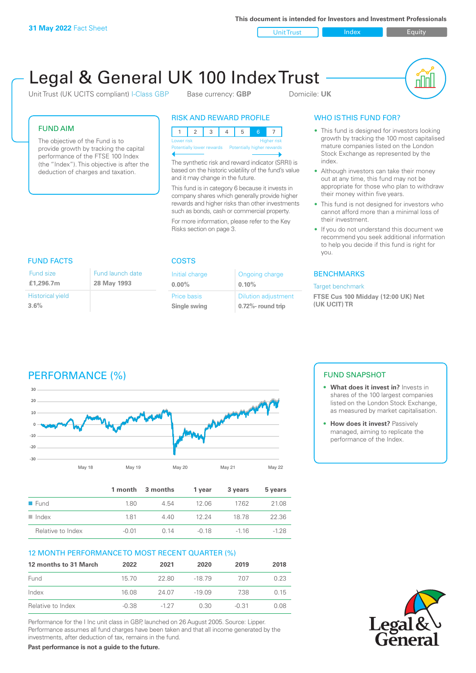**This document is intended for Investors and Investment Professionals**

Unit Trust **Index** Index Equity

# Legal & General UK 100 Index Trust

Unit Trust (UK UCITS compliant) I-Class GBP Base currency: **GBP** Domicile: UK



#### FUND AIM

The objective of the Fund is to provide growth by tracking the capital performance of the FTSE 100 Index (the "Index"). This objective is after the deduction of charges and taxation.

### RISK AND REWARD PROFILE

|                           |  |  |  |  | Б, |                            |                    |
|---------------------------|--|--|--|--|----|----------------------------|--------------------|
| Lower risk                |  |  |  |  |    |                            | <b>Higher risk</b> |
| Potentially lower rewards |  |  |  |  |    | Potentially higher rewards |                    |
|                           |  |  |  |  |    |                            |                    |

The synthetic risk and reward indicator (SRRI) is based on the historic volatility of the fund's value and it may change in the future.

This fund is in category 6 because it invests in company shares which generally provide higher rewards and higher risks than other investments such as bonds, cash or commercial property.

For more information, please refer to the Key Risks section on page 3.

### WHO IS THIS FUND FOR?

- This fund is designed for investors looking growth by tracking the 100 most capitalised mature companies listed on the London Stock Exchange as represented by the index.
- Although investors can take their money out at any time, this fund may not be appropriate for those who plan to withdraw their money within five years.
- This fund is not designed for investors who cannot afford more than a minimal loss of their investment.
- If you do not understand this document we recommend you seek additional information to help you decide if this fund is right for you.

#### **BENCHMARKS**

#### Target benchmark

**FTSE Cus 100 Midday (12:00 UK) Net (UK UCIT) TR**

#### FUND FACTS COSTS Fund size

| Fund size               | Fund launch date |
|-------------------------|------------------|
| £1,296.7m               | 28 May 1993      |
| <b>Historical yield</b> |                  |
| 3.6%                    |                  |

| Initial charge | Ongoing charge             |
|----------------|----------------------------|
| $0.00\%$       | 0.10%                      |
| Price basis    | <b>Dilution adjustment</b> |
| Single swing   | 0.72%- round trip          |

# PERFORMANCE (%)



|                      |       | 1 month 3 months | 1 vear | 3 years | 5 years |
|----------------------|-------|------------------|--------|---------|---------|
| $\blacksquare$ Fund  | 180   | 4.54             | 12 OG  | 1762    | 21.08   |
| $\blacksquare$ Index | 181   | 4.40             | 12 24  | 18.78   | 22.36   |
| Relative to Index    | -0.01 | O 14             | -0.18  | $-116$  | $-128$  |

#### 12 MONTH PERFORMANCE TO MOST RECENT QUARTER (%)

| 12 months to 31 March | 2022    | 2021   | 2020     | 2019    | 2018  |
|-----------------------|---------|--------|----------|---------|-------|
| Fund                  | 15.70   | 22.80  | -18 79   | 707     | 0.23  |
| Index                 | 16.08   | 24.07  | $-19.09$ | 738     | O 15  |
| Relative to Index     | $-0.38$ | $-127$ | 0.30     | $-0.31$ | N 08. |

Performance for the I Inc unit class in GBP, launched on 26 August 2005. Source: Lipper. Performance assumes all fund charges have been taken and that all income generated by the investments, after deduction of tax, remains in the fund.

**Past performance is not a guide to the future.**

#### FUND SNAPSHOT

- **• What does it invest in?** Invests in shares of the 100 largest companies listed on the London Stock Exchange, as measured by market capitalisation.
- **• How does it invest?** Passively managed, aiming to replicate the performance of the Index.

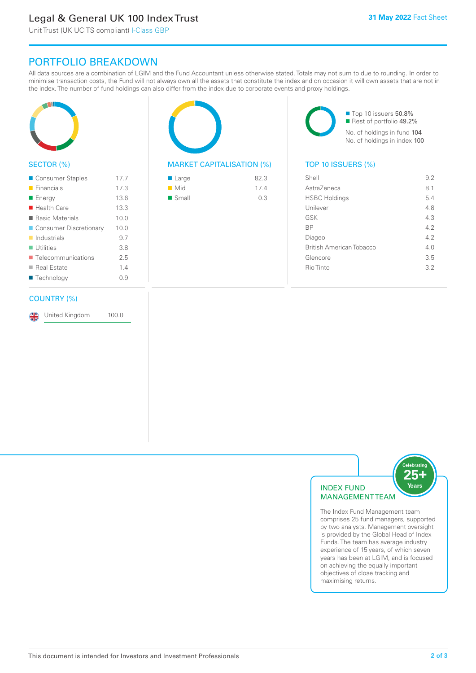# Legal & General UK 100 Index Trust

Unit Trust (UK UCITS compliant) I-Class GBP

## PORTFOLIO BREAKDOWN

All data sources are a combination of LGIM and the Fund Accountant unless otherwise stated. Totals may not sum to due to rounding. In order to minimise transaction costs, the Fund will not always own all the assets that constitute the index and on occasion it will own assets that are not in the index. The number of fund holdings can also differ from the index due to corporate events and proxy holdings.



#### SECTOR (%)

| ■ Consumer Staples         | 17.7 |
|----------------------------|------|
| $\blacksquare$ Financials  | 17.3 |
| ■ Energy                   | 13.6 |
| $\blacksquare$ Health Care | 13.3 |
| ■ Basic Materials          | 10.0 |
| ■ Consumer Discretionary   | 10.0 |
| $\blacksquare$ Industrials | 9.7  |
| $\blacksquare$ Utilities   | 3.8  |
| ■ Telecommunications       | 25   |
| ■ Real Estate              | 1.4  |
| ■ Technology               | 0.9  |
|                            |      |

#### COUNTRY (%)

United Kingdom 100.0

#### MARKET CAPITALISATION (%) TOP 10 ISSUERS (%)

| ■ Large            | 82.3 |
|--------------------|------|
| $\blacksquare$ Mid | 174  |
| ■ Small            | 0.3  |

■ Top 10 issuers 50.8% ■ Rest of portfolio 49.2% No. of holdings in fund 104 No. of holdings in index 100

| Shell                    | 9.2 |
|--------------------------|-----|
| Astra7eneca              | 81  |
| <b>HSBC Holdings</b>     | 5.4 |
| Unilever                 | 48  |
| GSK                      | 4.3 |
| <b>BP</b>                | 42  |
| Diageo                   | 42  |
| British American Tobacco | 4 N |
| Glencore                 | 3.5 |
| Rio Tinto                | 32  |
|                          |     |



The Index Fund Management team comprises 25 fund managers, supported by two analysts. Management oversight is provided by the Global Head of Index Funds. The team has average industry experience of 15 years, of which seven years has been at LGIM, and is focused on achieving the equally important objectives of close tracking and maximising returns.